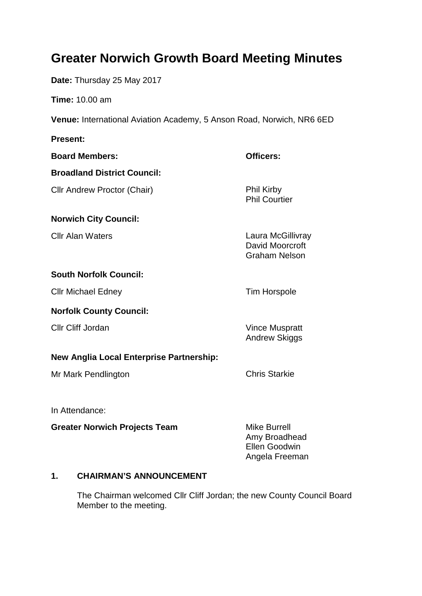# **Greater Norwich Growth Board Meeting Minutes**

**Date:** Thursday 25 May 2017

**Time:** 10.00 am

**Venue:** International Aviation Academy, 5 Anson Road, Norwich, NR6 6ED

**Present: Board Members: Officers: Broadland District Council:** Cllr Andrew Proctor (Chair) **Phil Kirby** Phil Courtier **Norwich City Council: Clir Alan Waters Clir Alan Waters Clir Alan Waters** Laura McGillivray David Moorcroft Graham Nelson **South Norfolk Council:** Cllr Michael Edney **Tim Horspole Norfolk County Council:** Cllr Cliff Jordan Vince Muspratt Andrew Skiggs **New Anglia Local Enterprise Partnership:** Mr Mark Pendlington Chris Starkie

In Attendance:

**Greater Norwich Projects Team** Mike Burrell

Amy Broadhead Ellen Goodwin Angela Freeman

## **1. CHAIRMAN'S ANNOUNCEMENT**

The Chairman welcomed Cllr Cliff Jordan; the new County Council Board Member to the meeting.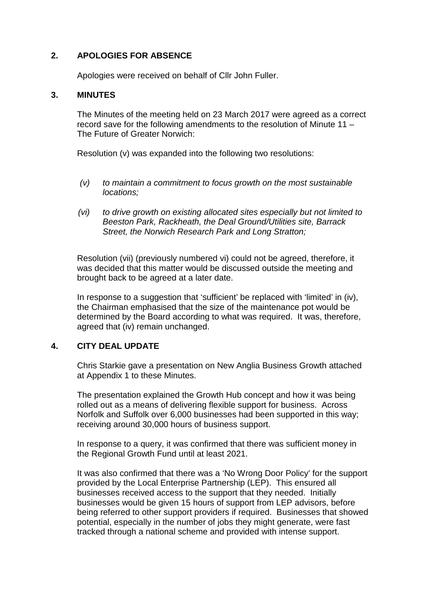## **2. APOLOGIES FOR ABSENCE**

Apologies were received on behalf of Cllr John Fuller.

#### **3. MINUTES**

The Minutes of the meeting held on 23 March 2017 were agreed as a correct record save for the following amendments to the resolution of Minute 11 – The Future of Greater Norwich:

Resolution (v) was expanded into the following two resolutions:

- *(v) to maintain a commitment to focus growth on the most sustainable locations;*
- *(vi) to drive growth on existing allocated sites especially but not limited to Beeston Park, Rackheath, the Deal Ground/Utilities site, Barrack Street, the Norwich Research Park and Long Stratton;*

Resolution (vii) (previously numbered vi) could not be agreed, therefore, it was decided that this matter would be discussed outside the meeting and brought back to be agreed at a later date.

In response to a suggestion that 'sufficient' be replaced with 'limited' in (iv), the Chairman emphasised that the size of the maintenance pot would be determined by the Board according to what was required. It was, therefore, agreed that (iv) remain unchanged.

#### **4. CITY DEAL UPDATE**

Chris Starkie gave a presentation on New Anglia Business Growth attached at Appendix 1 to these Minutes.

The presentation explained the Growth Hub concept and how it was being rolled out as a means of delivering flexible support for business. Across Norfolk and Suffolk over 6,000 businesses had been supported in this way; receiving around 30,000 hours of business support.

In response to a query, it was confirmed that there was sufficient money in the Regional Growth Fund until at least 2021.

It was also confirmed that there was a 'No Wrong Door Policy' for the support provided by the Local Enterprise Partnership (LEP). This ensured all businesses received access to the support that they needed. Initially businesses would be given 15 hours of support from LEP advisors, before being referred to other support providers if required. Businesses that showed potential, especially in the number of jobs they might generate, were fast tracked through a national scheme and provided with intense support.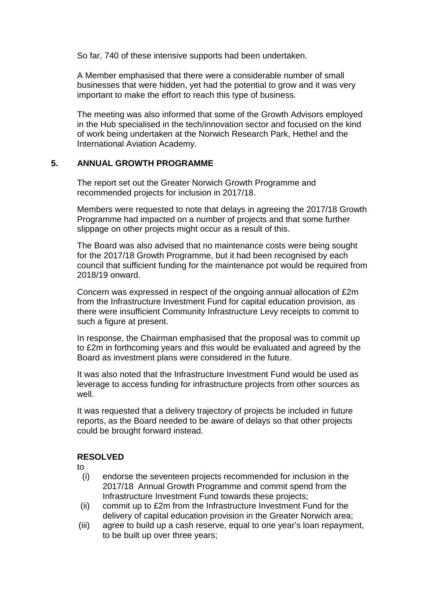So far, 740 of these intensive supports had been undertaken.

A Member emphasised that there were a considerable number of small businesses that were hidden, yet had the potential to grow and it was very important to make the effort to reach this type of business.

The meeting was also informed that some of the Growth Advisors employed in the Hub specialised in the tech/innovation sector and focused on the kind of work being undertaken at the Norwich Research Park, Hethel and the International Aviation Academy.

#### **5. ANNUAL GROWTH PROGRAMME**

The report set out the Greater Norwich Growth Programme and recommended projects for inclusion in 2017/18.

Members were requested to note that delays in agreeing the 2017/18 Growth Programme had impacted on a number of projects and that some further slippage on other projects might occur as a result of this.

The Board was also advised that no maintenance costs were being sought for the 2017/18 Growth Programme, but it had been recognised by each council that sufficient funding for the maintenance pot would be required from 2018/19 onward.

Concern was expressed in respect of the ongoing annual allocation of £2m from the Infrastructure Investment Fund for capital education provision, as there were insufficient Community Infrastructure Levy receipts to commit to such a figure at present.

In response, the Chairman emphasised that the proposal was to commit up to £2m in forthcoming years and this would be evaluated and agreed by the Board as investment plans were considered in the future.

It was also noted that the Infrastructure Investment Fund would be used as leverage to access funding for infrastructure projects from other sources as well.

It was requested that a delivery trajectory of projects be included in future reports, as the Board needed to be aware of delays so that other projects could be brought forward instead.

#### **RESOLVED**

to

- (i) endorse the seventeen projects recommended for inclusion in the 2017/18 Annual Growth Programme and commit spend from the Infrastructure Investment Fund towards these projects;
- (ii) commit up to £2m from the Infrastructure Investment Fund for the delivery of capital education provision in the Greater Norwich area;
- (iii) agree to build up a cash reserve, equal to one year's loan repayment, to be built up over three years;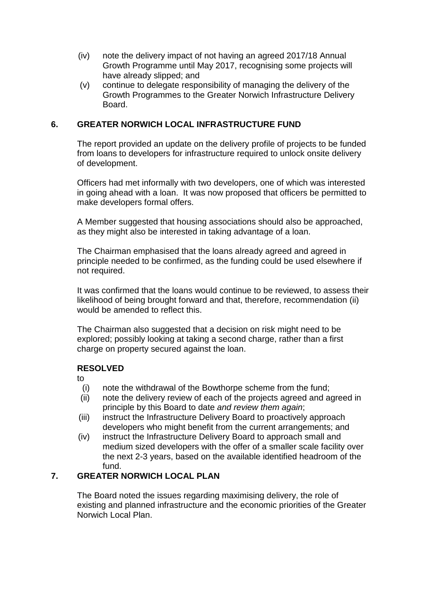- (iv) note the delivery impact of not having an agreed 2017/18 Annual Growth Programme until May 2017, recognising some projects will have already slipped; and
- (v) continue to delegate responsibility of managing the delivery of the Growth Programmes to the Greater Norwich Infrastructure Delivery Board.

## **6. GREATER NORWICH LOCAL INFRASTRUCTURE FUND**

The report provided an update on the delivery profile of projects to be funded from loans to developers for infrastructure required to unlock onsite delivery of development.

Officers had met informally with two developers, one of which was interested in going ahead with a loan. It was now proposed that officers be permitted to make developers formal offers.

A Member suggested that housing associations should also be approached, as they might also be interested in taking advantage of a loan.

The Chairman emphasised that the loans already agreed and agreed in principle needed to be confirmed, as the funding could be used elsewhere if not required.

It was confirmed that the loans would continue to be reviewed, to assess their likelihood of being brought forward and that, therefore, recommendation (ii) would be amended to reflect this.

The Chairman also suggested that a decision on risk might need to be explored; possibly looking at taking a second charge, rather than a first charge on property secured against the loan.

#### **RESOLVED**

to

- (i) note the withdrawal of the Bowthorpe scheme from the fund;
- (ii) note the delivery review of each of the projects agreed and agreed in principle by this Board to date *and review them again*;
- (iii) instruct the Infrastructure Delivery Board to proactively approach developers who might benefit from the current arrangements; and
- (iv) instruct the Infrastructure Delivery Board to approach small and medium sized developers with the offer of a smaller scale facility over the next 2-3 years, based on the available identified headroom of the fund.

# **7. GREATER NORWICH LOCAL PLAN**

The Board noted the issues regarding maximising delivery, the role of existing and planned infrastructure and the economic priorities of the Greater Norwich Local Plan.